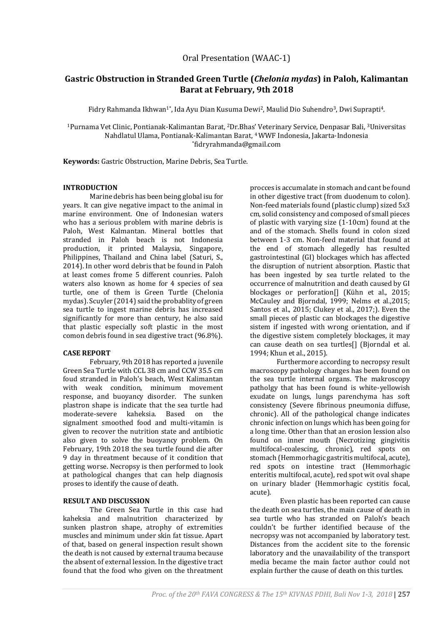# **Gastric Obstruction in Stranded Green Turtle (***Chelonia mydas***) in Paloh, Kalimantan Barat at February, 9th 2018**

Fidry Rahmanda Ikhwan<sup>1\*</sup>, Ida Ayu Dian Kusuma Dewi<sup>2</sup>, Maulid Dio Suhendro<sup>3</sup>, Dwi Suprapti<sup>4</sup>.

<sup>1</sup>Purnama Vet Clinic, Pontianak-Kalimantan Barat, 2Dr.Bhas' Veterinary Service, Denpasar Bali, 3Universitas Nahdlatul Ulama, Pontianak-Kalimantan Barat, 4 WWF Indonesia, Jakarta-Indonesia \* fidryrahmanda@gmail.com

**Keywords:** Gastric Obstruction, Marine Debris, Sea Turtle.

### **INTRODUCTION**

Marine debris has been being global isu for years. It can give negative impact to the animal in marine environment. One of Indonesian waters who has a serious problem with marine debris is Paloh, West Kalmantan. Mineral bottles that stranded in Paloh beach is not Indonesia production, it printed Malaysia, Singapore, Philippines, Thailand and China label (Saturi, S., 2014). In other word debris that be found in Paloh at least comes frome 5 different counries. Paloh waters also known as home for 4 species of sea turtle, one of them is Green Turtle (Chelonia mydas). Scuyler (2014) said the probablity of green sea turtle to ingest marine debris has increased significantly for more than century, he also said that plastic especially soft plastic in the most comon debris found in sea digestive tract (96.8%).

## **CASE REPORT**

February, 9th 2018 has reported a juvenile Green Sea Turtle with CCL 38 cm and CCW 35.5 cm foud stranded in Paloh's beach, West Kalimantan with weak condition, minimum movement response, and buoyancy disorder. The sunken plastron shape is indicate that the sea turtle had moderate-severe kaheksia. Based on the signalment smoothed food and multi-vitamin is given to recover the nutrition state and antibiotic also given to solve the buoyancy problem. On February, 19th 2018 the sea turtle found die after 9 day in threatment because of it condition that getting worse. Necropsy is then performed to look at pathological changes that can help diagnosis proses to identify the cause of death.

## **RESULT AND DISCUSSION**

The Green Sea Turtle in this case had kaheksia and malnutrition characterized by sunken plastron shape, atrophy of extremities muscles and minimum under skin fat tissue. Apart of that, based on general inspection result shown the death is not caused by external trauma because the absent of external lession. In the digestive tract found that the food who given on the threatment

procces is accumalate in stomach and cant be found in other digestive tract (from duodenum to colon). Non-feed materials found (plastic clump) sized 5x3 cm, solid consistency and composed of small pieces of plastic with varying size (1-10cm) found at the and of the stomach. Shells found in colon sized between 1-3 cm. Non-feed material that found at the end of stomach allegedly has resulted gastrointestinal (GI) blockages which has affected the disruption of nutrient absorption. Plastic that has been ingested by sea turtle related to the occurrence of malnutrition and death caused by GI blockages or perforation<sup>[]</sup> (Kühn et al., 2015; McCauley and Bjorndal, 1999; Nelms et al.,2015; Santos et al., 2015; Clukey et al., 2017;). Even the small pieces of plastic can blockages the digestive sistem if ingested with wrong orientation, and if the digestive sistem completely blockages, it may can cause death on sea turtles[] (Bjorndal et al. 1994; Khun et al., 2015).

Furthermore according to necropsy result macroscopy pathology changes has been found on the sea turtle internal organs. The makroscopy patholgy that has been found is white-yellowish exudate on lungs, lungs parenchyma has soft consistency (Severe fibrinous pneumonia diffuse, chronic). All of the pathological change indicates chronic infection on lungs which has been going for a long time. Other than that an erosion lession also found on inner mouth (Necrotizing gingivitis multifocal-coalescing, chronic), red spots on stomach (Hemmorhagic gastritis multifocal, acute), red spots on intestine tract (Hemmorhagic enteritis multifocal, acute), red spot wit oval shape on urinary blader (Hemmorhagic cystitis focal, acute).

Even plastic has been reported can cause the death on sea turtles, the main cause of death in sea turtle who has stranded on Paloh's beach couldn't be further identified because of the necropsy was not accompanied by laboratory test. Distances from the accident site to the forensic laboratory and the unavailability of the transport media became the main factor author could not explain further the cause of death on this turtles.